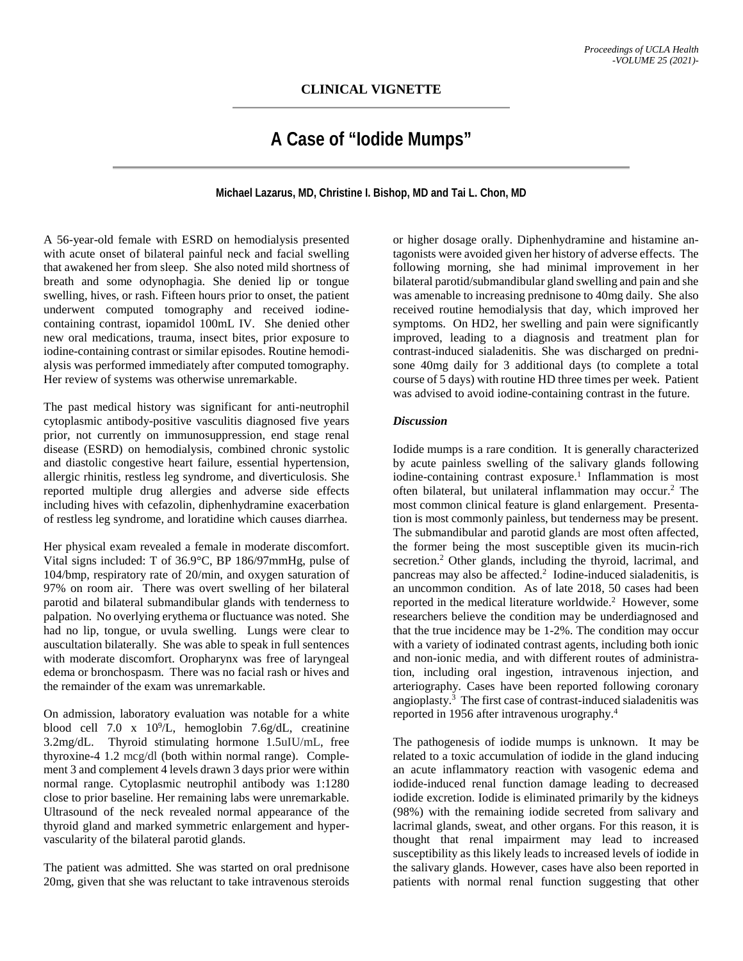## **CLINICAL VIGNETTE**

## **A Case of "Iodide Mumps"**

**Michael Lazarus, MD, Christine I. Bishop, MD and Tai L. Chon, MD**

A 56-year-old female with ESRD on hemodialysis presented with acute onset of bilateral painful neck and facial swelling that awakened her from sleep. She also noted mild shortness of breath and some odynophagia. She denied lip or tongue swelling, hives, or rash. Fifteen hours prior to onset, the patient underwent computed tomography and received iodinecontaining contrast, iopamidol 100mL IV. She denied other new oral medications, trauma, insect bites, prior exposure to iodine-containing contrast or similar episodes. Routine hemodialysis was performed immediately after computed tomography. Her review of systems was otherwise unremarkable.

The past medical history was significant for anti-neutrophil cytoplasmic antibody-positive vasculitis diagnosed five years prior, not currently on immunosuppression, end stage renal disease (ESRD) on hemodialysis, combined chronic systolic and diastolic congestive heart failure, essential hypertension, allergic rhinitis, restless leg syndrome, and diverticulosis. She reported multiple drug allergies and adverse side effects including hives with cefazolin, diphenhydramine exacerbation of restless leg syndrome, and loratidine which causes diarrhea.

Her physical exam revealed a female in moderate discomfort. Vital signs included: T of 36.9°C, BP 186/97mmHg, pulse of 104/bmp, respiratory rate of 20/min, and oxygen saturation of 97% on room air. There was overt swelling of her bilateral parotid and bilateral submandibular glands with tenderness to palpation. No overlying erythema or fluctuance was noted. She had no lip, tongue, or uvula swelling. Lungs were clear to auscultation bilaterally. She was able to speak in full sentences with moderate discomfort. Oropharynx was free of laryngeal edema or bronchospasm. There was no facial rash or hives and the remainder of the exam was unremarkable.

On admission, laboratory evaluation was notable for a white blood cell  $7.0 \times 10^9$ /L, hemoglobin  $7.6$ g/dL, creatinine 3.2mg/dL. Thyroid stimulating hormone 1.5uIU/mL, free thyroxine-4 1.2 mcg/dl (both within normal range). Complement 3 and complement 4 levels drawn 3 days prior were within normal range. Cytoplasmic neutrophil antibody was 1:1280 close to prior baseline. Her remaining labs were unremarkable. Ultrasound of the neck revealed normal appearance of the thyroid gland and marked symmetric enlargement and hypervascularity of the bilateral parotid glands.

The patient was admitted. She was started on oral prednisone 20mg, given that she was reluctant to take intravenous steroids

or higher dosage orally. Diphenhydramine and histamine antagonists were avoided given her history of adverse effects. The following morning, she had minimal improvement in her bilateral parotid/submandibular gland swelling and pain and she was amenable to increasing prednisone to 40mg daily. She also received routine hemodialysis that day, which improved her symptoms. On HD2, her swelling and pain were significantly improved, leading to a diagnosis and treatment plan for contrast-induced sialadenitis. She was discharged on prednisone 40mg daily for 3 additional days (to complete a total course of 5 days) with routine HD three times per week. Patient was advised to avoid iodine-containing contrast in the future.

## *Discussion*

Iodide mumps is a rare condition. It is generally characterized by acute painless swelling of the salivary glands following iodine-containing contrast exposure. <sup>1</sup> Inflammation is most often bilateral, but unilateral inflammation may occur.<sup>2</sup> The most common clinical feature is gland enlargement. Presentation is most commonly painless, but tenderness may be present. The submandibular and parotid glands are most often affected, the former being the most susceptible given its mucin-rich secretion.<sup>2</sup> Other glands, including the thyroid, lacrimal, and pancreas may also be affected.<sup>2</sup> Iodine-induced sialadenitis, is an uncommon condition. As of late 2018, 50 cases had been reported in the medical literature worldwide. 2 However, some researchers believe the condition may be underdiagnosed and that the true incidence may be 1-2%. The condition may occur with a variety of iodinated contrast agents, including both ionic and non-ionic media, and with different routes of administration, including oral ingestion, intravenous injection, and arteriography. Cases have been reported following coronary angioplasty.3 The first case of contrast-induced sialadenitis was reported in 1956 after intravenous urography.4

The pathogenesis of iodide mumps is unknown. It may be related to a toxic accumulation of iodide in the gland inducing an acute inflammatory reaction with vasogenic edema and iodide-induced renal function damage leading to decreased iodide excretion. Iodide is eliminated primarily by the kidneys (98%) with the remaining iodide secreted from salivary and lacrimal glands, sweat, and other organs. For this reason, it is thought that renal impairment may lead to increased susceptibility as this likely leads to increased levels of iodide in the salivary glands. However, cases have also been reported in patients with normal renal function suggesting that other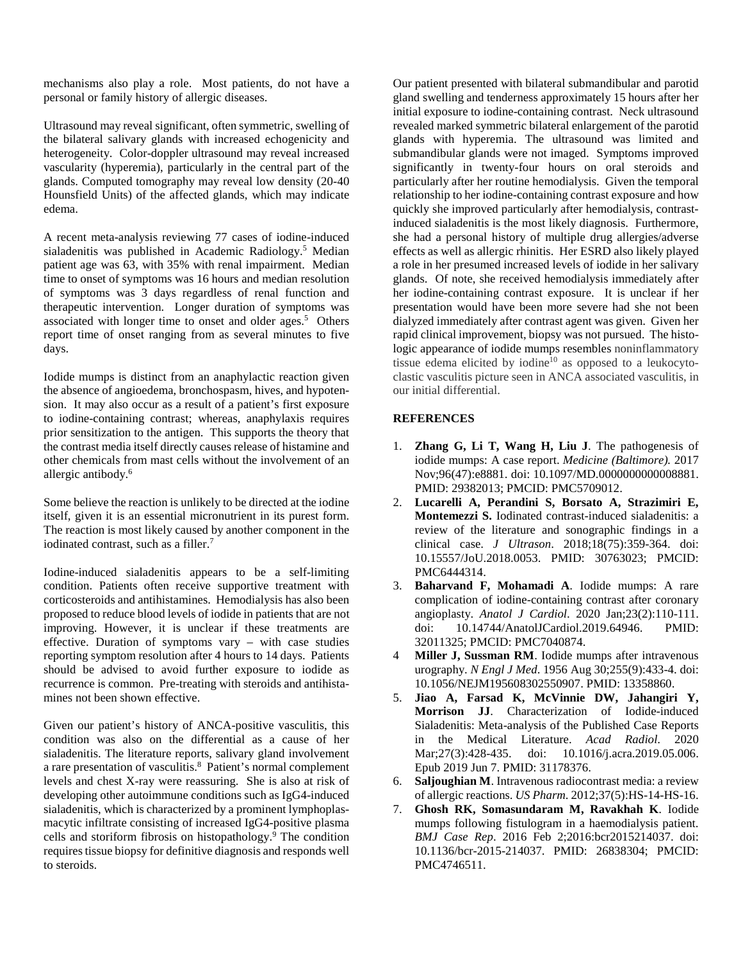mechanisms also play a role. Most patients, do not have a personal or family history of allergic diseases.

Ultrasound may reveal significant, often symmetric, swelling of the bilateral salivary glands with increased echogenicity and heterogeneity. Color-doppler ultrasound may reveal increased vascularity (hyperemia), particularly in the central part of the glands. Computed tomography may reveal low density (20-40 Hounsfield Units) of the affected glands, which may indicate edema.

A recent meta-analysis reviewing 77 cases of iodine-induced sialadenitis was published in Academic Radiology. <sup>5</sup> Median patient age was 63, with 35% with renal impairment. Median time to onset of symptoms was 16 hours and median resolution of symptoms was 3 days regardless of renal function and therapeutic intervention. Longer duration of symptoms was associated with longer time to onset and older ages. 5 Others report time of onset ranging from as several minutes to five days.

Iodide mumps is distinct from an anaphylactic reaction given the absence of angioedema, bronchospasm, hives, and hypotension. It may also occur as a result of a patient's first exposure to iodine-containing contrast; whereas, anaphylaxis requires prior sensitization to the antigen. This supports the theory that the contrast media itself directly causes release of histamine and other chemicals from mast cells without the involvement of an allergic antibody. 6

Some believe the reaction is unlikely to be directed at the iodine itself, given it is an essential micronutrient in its purest form. The reaction is most likely caused by another component in the iodinated contrast, such as a filler.<sup>7</sup>

Iodine-induced sialadenitis appears to be a self-limiting condition. Patients often receive supportive treatment with corticosteroids and antihistamines. Hemodialysis has also been proposed to reduce blood levels of iodide in patients that are not improving. However, it is unclear if these treatments are effective. Duration of symptoms vary – with case studies reporting symptom resolution after 4 hours to 14 days. Patients should be advised to avoid further exposure to iodide as recurrence is common. Pre-treating with steroids and antihistamines not been shown effective.

Given our patient's history of ANCA-positive vasculitis, this condition was also on the differential as a cause of her sialadenitis. The literature reports, salivary gland involvement a rare presentation of vasculitis. 8 Patient's normal complement levels and chest X-ray were reassuring. She is also at risk of developing other autoimmune conditions such as IgG4-induced sialadenitis, which is characterized by a prominent lymphoplasmacytic infiltrate consisting of increased IgG4-positive plasma cells and storiform fibrosis on histopathology.9 The condition requires tissue biopsy for definitive diagnosis and responds well to steroids.

Our patient presented with bilateral submandibular and parotid gland swelling and tenderness approximately 15 hours after her initial exposure to iodine-containing contrast. Neck ultrasound revealed marked symmetric bilateral enlargement of the parotid glands with hyperemia. The ultrasound was limited and submandibular glands were not imaged. Symptoms improved significantly in twenty-four hours on oral steroids and particularly after her routine hemodialysis. Given the temporal relationship to her iodine-containing contrast exposure and how quickly she improved particularly after hemodialysis, contrastinduced sialadenitis is the most likely diagnosis. Furthermore, she had a personal history of multiple drug allergies/adverse effects as well as allergic rhinitis. Her ESRD also likely played a role in her presumed increased levels of iodide in her salivary glands. Of note, she received hemodialysis immediately after her iodine-containing contrast exposure. It is unclear if her presentation would have been more severe had she not been dialyzed immediately after contrast agent was given. Given her rapid clinical improvement, biopsy was not pursued. The histologic appearance of iodide mumps resembles noninflammatory tissue edema elicited by iodine<sup>10</sup> as opposed to a leukocytoclastic vasculitis picture seen in ANCA associated vasculitis, in our initial differential.

## **REFERENCES**

- 1. **Zhang G, Li T, Wang H, Liu J**. The pathogenesis of iodide mumps: A case report. *Medicine (Baltimore).* 2017 Nov;96(47):e8881. doi: 10.1097/MD.0000000000008881. PMID: 29382013; PMCID: PMC5709012.
- 2. **Lucarelli A, Perandini S, Borsato A, Strazimiri E, Montemezzi S.** Iodinated contrast-induced sialadenitis: a review of the literature and sonographic findings in a clinical case. *J Ultrason*. 2018;18(75):359-364. doi: 10.15557/JoU.2018.0053. PMID: 30763023; PMCID: PMC6444314.
- 3. **Baharvand F, Mohamadi A**. Iodide mumps: A rare complication of iodine-containing contrast after coronary angioplasty. *Anatol J Cardiol*. 2020 Jan;23(2):110-111. doi: 10.14744/AnatolJCardiol.2019.64946. PMID: 32011325; PMCID: PMC7040874.
- 4 **Miller J, Sussman RM**. Iodide mumps after intravenous urography. *N Engl J Med*. 1956 Aug 30;255(9):433-4. doi: 10.1056/NEJM195608302550907. PMID: 13358860.
- 5. **Jiao A, Farsad K, McVinnie DW, Jahangiri Y, Morrison JJ**. Characterization of Iodide-induced Sialadenitis: Meta-analysis of the Published Case Reports in the Medical Literature. *Acad Radiol*. 2020 Mar; 27(3): 428-435. doi: 10.1016/j. acra. 2019.05.006. Epub 2019 Jun 7. PMID: 31178376.
- 6. **Saljoughian M**. Intravenous radiocontrast media: a review of allergic reactions. *US Pharm*. 2012;37(5):HS-14-HS-16.
- 7. **Ghosh RK, Somasundaram M, Ravakhah K**. Iodide mumps following fistulogram in a haemodialysis patient. *BMJ Case Rep*. 2016 Feb 2;2016:bcr2015214037. doi: 10.1136/bcr-2015-214037. PMID: 26838304; PMCID: PMC4746511.